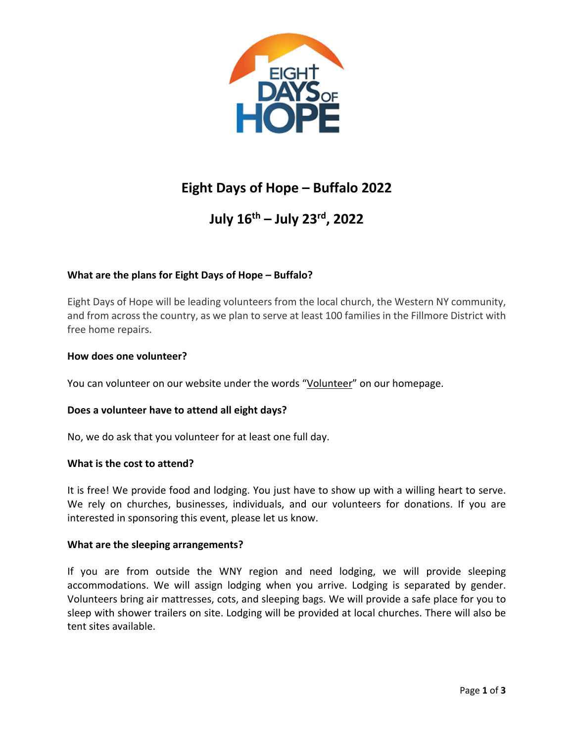

# **Eight Days of Hope – Buffalo 2022**

# **July 16th – July 23rd, 2022**

# **What are the plans for Eight Days of Hope – Buffalo?**

Eight Days of Hope will be leading volunteers from the local church, the Western NY community, and from across the country, as we plan to serve at least 100 families in the Fillmore District with free home repairs.

# **How does one volunteer?**

You can volunteer on our website under the words "Volunteer" on our homepage.

# **Does a volunteer have to attend all eight days?**

No, we do ask that you volunteer for at least one full day.

# **What is the cost to attend?**

It is free! We provide food and lodging. You just have to show up with a willing heart to serve. We rely on churches, businesses, individuals, and our volunteers for donations. If you are interested in sponsoring this event, please let us know.

# **What are the sleeping arrangements?**

If you are from outside the WNY region and need lodging, we will provide sleeping accommodations. We will assign lodging when you arrive. Lodging is separated by gender. Volunteers bring air mattresses, cots, and sleeping bags. We will provide a safe place for you to sleep with shower trailers on site. Lodging will be provided at local churches. There will also be tent sites available.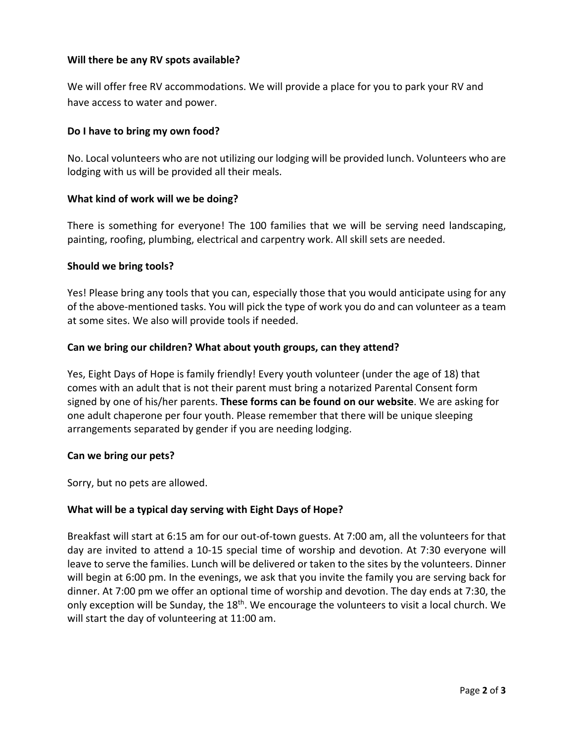# **Will there be any RV spots available?**

We will offer free RV accommodations. We will provide a place for you to park your RV and have access to water and power.

# **Do I have to bring my own food?**

No. Local volunteers who are not utilizing our lodging will be provided lunch. Volunteers who are lodging with us will be provided all their meals.

# **What kind of work will we be doing?**

There is something for everyone! The 100 families that we will be serving need landscaping, painting, roofing, plumbing, electrical and carpentry work. All skill sets are needed.

# **Should we bring tools?**

Yes! Please bring any tools that you can, especially those that you would anticipate using for any of the above-mentioned tasks. You will pick the type of work you do and can volunteer as a team at some sites. We also will provide tools if needed.

# **Can we bring our children? What about youth groups, can they attend?**

Yes, Eight Days of Hope is family friendly! Every youth volunteer (under the age of 18) that comes with an adult that is not their parent must bring a notarized Parental Consent form signed by one of his/her parents. **These forms can be found on our website**. We are asking for one adult chaperone per four youth. Please remember that there will be unique sleeping arrangements separated by gender if you are needing lodging.

# **Can we bring our pets?**

Sorry, but no pets are allowed.

# **What will be a typical day serving with Eight Days of Hope?**

Breakfast will start at 6:15 am for our out-of-town guests. At 7:00 am, all the volunteers for that day are invited to attend a 10-15 special time of worship and devotion. At 7:30 everyone will leave to serve the families. Lunch will be delivered or taken to the sites by the volunteers. Dinner will begin at 6:00 pm. In the evenings, we ask that you invite the family you are serving back for dinner. At 7:00 pm we offer an optional time of worship and devotion. The day ends at 7:30, the only exception will be Sunday, the 18<sup>th</sup>. We encourage the volunteers to visit a local church. We will start the day of volunteering at 11:00 am.